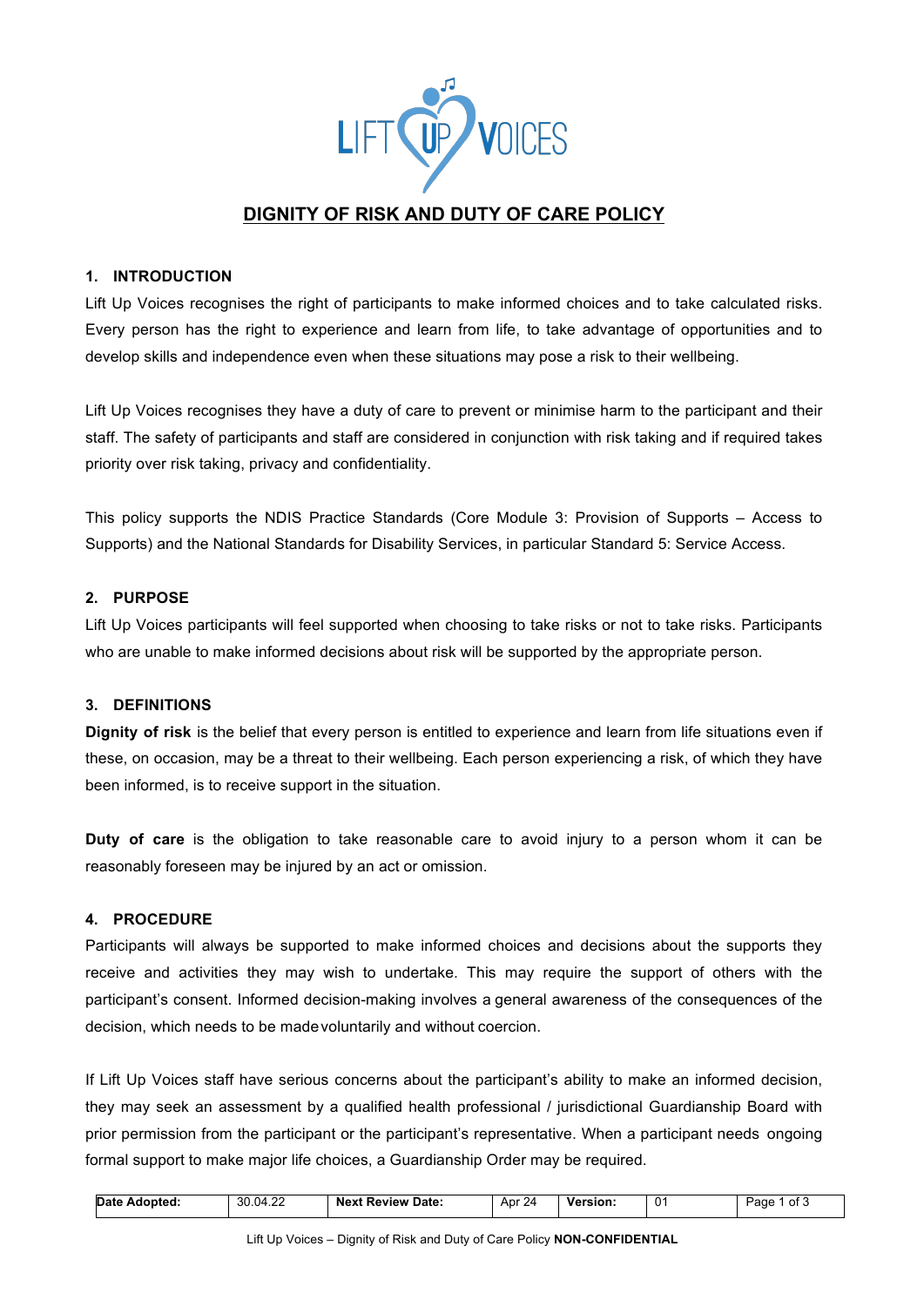

# **DIGNITY OF RISK AND DUTY OF CARE POLICY**

# **1. INTRODUCTION**

Lift Up Voices recognises the right of participants to make informed choices and to take calculated risks. Every person has the right to experience and learn from life, to take advantage of opportunities and to develop skills and independence even when these situations may pose a risk to their wellbeing.

Lift Up Voices recognises they have a duty of care to prevent or minimise harm to the participant and their staff. The safety of participants and staff are considered in conjunction with risk taking and if required takes priority over risk taking, privacy and confidentiality.

This policy supports the NDIS Practice Standards (Core Module 3: Provision of Supports – Access to Supports) and the National Standards for Disability Services, in particular Standard 5: Service Access.

## **2. PURPOSE**

Lift Up Voices participants will feel supported when choosing to take risks or not to take risks. Participants who are unable to make informed decisions about risk will be supported by the appropriate person.

# **3. DEFINITIONS**

**Dignity of risk** is the belief that every person is entitled to experience and learn from life situations even if these, on occasion, may be a threat to their wellbeing. Each person experiencing a risk, of which they have been informed, is to receive support in the situation.

**Duty of care** is the obligation to take reasonable care to avoid injury to a person whom it can be reasonably foreseen may be injured by an act or omission.

#### **4. PROCEDURE**

Participants will always be supported to make informed choices and decisions about the supports they receive and activities they may wish to undertake. This may require the support of others with the participant's consent. Informed decision-making involves a general awareness of the consequences of the decision, which needs to be madevoluntarily and without coercion.

If Lift Up Voices staff have serious concerns about the participant's ability to make an informed decision, they may seek an assessment by a qualified health professional / jurisdictional Guardianship Board with prior permission from the participant or the participant's representative. When a participant needs ongoing formal support to make major life choices, a Guardianship Order may be required.

| 30.04.22<br><b>Date</b><br>Adopted: | : Review Date:<br>Next | Apr<br>24 | Version. | $\Omega$ | Page<br>ิot . |
|-------------------------------------|------------------------|-----------|----------|----------|---------------|
|-------------------------------------|------------------------|-----------|----------|----------|---------------|

 $\overline{\phantom{a}}$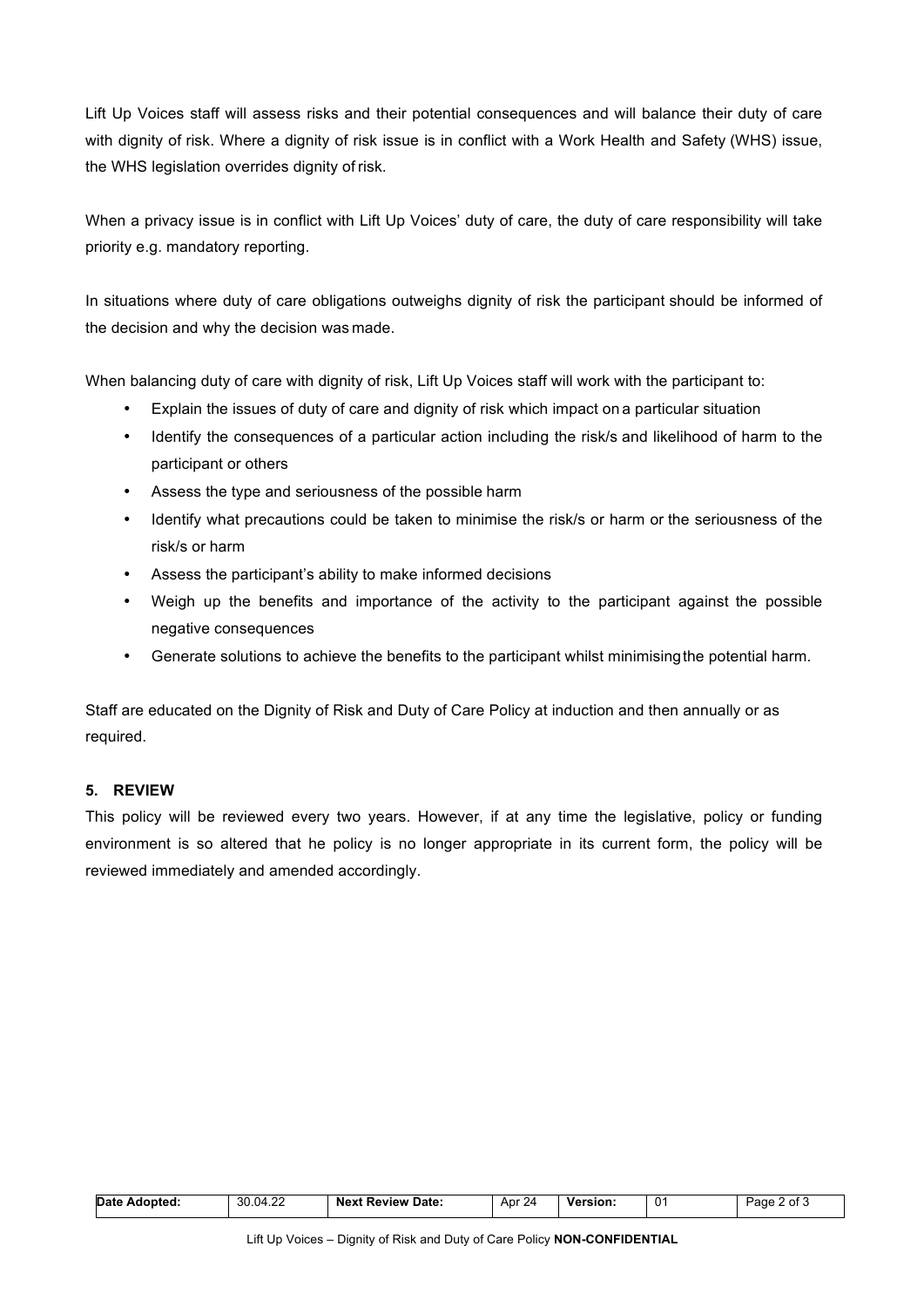Lift Up Voices staff will assess risks and their potential consequences and will balance their duty of care with dignity of risk. Where a dignity of risk issue is in conflict with a Work Health and Safety (WHS) issue, the WHS legislation overrides dignity of risk.

When a privacy issue is in conflict with Lift Up Voices' duty of care, the duty of care responsibility will take priority e.g. mandatory reporting.

In situations where duty of care obligations outweighs dignity of risk the participant should be informed of the decision and why the decision was made.

When balancing duty of care with dignity of risk, Lift Up Voices staff will work with the participant to:

- Explain the issues of duty of care and dignity of risk which impact on a particular situation
- Identify the consequences of a particular action including the risk/s and likelihood of harm to the participant or others
- Assess the type and seriousness of the possible harm
- Identify what precautions could be taken to minimise the risk/s or harm or the seriousness of the risk/s or harm
- Assess the participant's ability to make informed decisions
- Weigh up the benefits and importance of the activity to the participant against the possible negative consequences
- Generate solutions to achieve the benefits to the participant whilst minimisingthe potential harm.

Staff are educated on the Dignity of Risk and Duty of Care Policy at induction and then annually or as required.

## **5. REVIEW**

This policy will be reviewed every two years. However, if at any time the legislative, policy or funding environment is so altered that he policy is no longer appropriate in its current form, the policy will be reviewed immediately and amended accordingly.

| .104.2 <sup>c</sup><br>$\cdot$ $\cdot$<br>30.6<br>0<br><b>Date</b><br>Apr 24<br><b>Review Date:</b><br><b>Version:</b><br>Adopted:<br>Next<br>Page<br>7.ZZ | 0t |
|------------------------------------------------------------------------------------------------------------------------------------------------------------|----|
|------------------------------------------------------------------------------------------------------------------------------------------------------------|----|